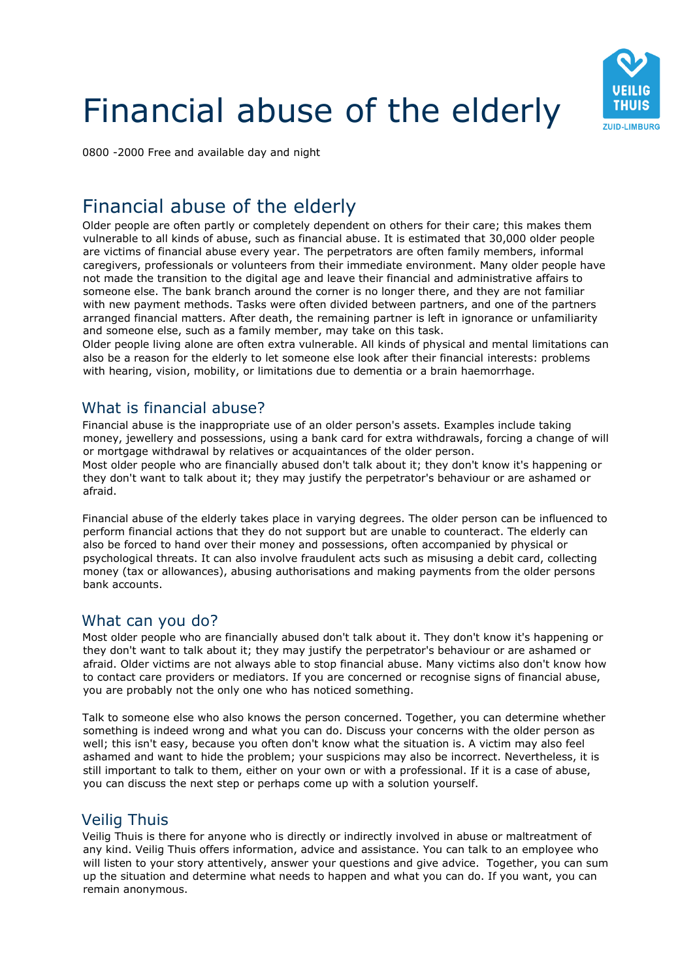# Financial abuse of the elderly



0800 -2000 Free and available day and night

# Financial abuse of the elderly

Older people are often partly or completely dependent on others for their care; this makes them vulnerable to all kinds of abuse, such as financial abuse. It is estimated that 30,000 older people are victims of financial abuse every year. The perpetrators are often family members, informal caregivers, professionals or volunteers from their immediate environment. Many older people have not made the transition to the digital age and leave their financial and administrative affairs to someone else. The bank branch around the corner is no longer there, and they are not familiar with new payment methods. Tasks were often divided between partners, and one of the partners arranged financial matters. After death, the remaining partner is left in ignorance or unfamiliarity and someone else, such as a family member, may take on this task.

Older people living alone are often extra vulnerable. All kinds of physical and mental limitations can also be a reason for the elderly to let someone else look after their financial interests: problems with hearing, vision, mobility, or limitations due to dementia or a brain haemorrhage.

# What is financial abuse?

Financial abuse is the inappropriate use of an older person's assets. Examples include taking money, jewellery and possessions, using a bank card for extra withdrawals, forcing a change of will or mortgage withdrawal by relatives or acquaintances of the older person. Most older people who are financially abused don't talk about it; they don't know it's happening or they don't want to talk about it; they may justify the perpetrator's behaviour or are ashamed or afraid.

Financial abuse of the elderly takes place in varying degrees. The older person can be influenced to perform financial actions that they do not support but are unable to counteract. The elderly can also be forced to hand over their money and possessions, often accompanied by physical or psychological threats. It can also involve fraudulent acts such as misusing a debit card, collecting money (tax or allowances), abusing authorisations and making payments from the older persons bank accounts.

#### What can you do?

Most older people who are financially abused don't talk about it. They don't know it's happening or they don't want to talk about it; they may justify the perpetrator's behaviour or are ashamed or afraid. Older victims are not always able to stop financial abuse. Many victims also don't know how to contact care providers or mediators. If you are concerned or recognise signs of financial abuse, you are probably not the only one who has noticed something.

Talk to someone else who also knows the person concerned. Together, you can determine whether something is indeed wrong and what you can do. Discuss your concerns with the older person as well; this isn't easy, because you often don't know what the situation is. A victim may also feel ashamed and want to hide the problem; your suspicions may also be incorrect. Nevertheless, it is still important to talk to them, either on your own or with a professional. If it is a case of abuse, you can discuss the next step or perhaps come up with a solution yourself.

# Veilig Thuis

Veilig Thuis is there for anyone who is directly or indirectly involved in abuse or maltreatment of any kind. Veilig Thuis offers information, advice and assistance. You can talk to an employee who will listen to your story attentively, answer your questions and give advice. Together, you can sum up the situation and determine what needs to happen and what you can do. If you want, you can remain anonymous.